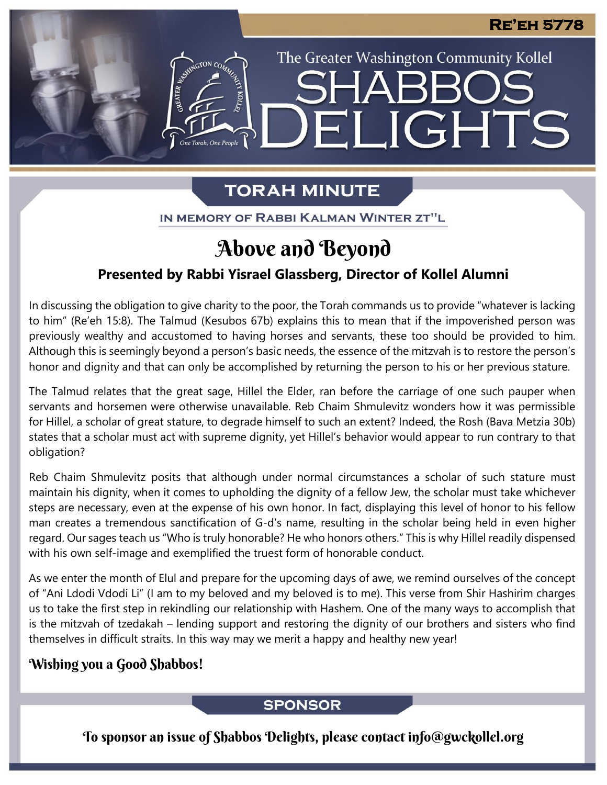The Greater Washington Community Kollel

ELIGHTS

# **TORAH MINUTE**

IN MEMORY OF RABBI KALMAN WINTER ZT"L

# Above and Beyond

## **Presented by Rabbi Yisrael Glassberg, Director of Kollel Alumni**

In discussing the obligation to give charity to the poor, the Torah commands us to provide "whatever is lacking to him" (Re'eh 15:8). The Talmud (Kesubos 67b) explains this to mean that if the impoverished person was previously wealthy and accustomed to having horses and servants, these too should be provided to him. Although this is seemingly beyond a person's basic needs, the essence of the mitzvah is to restore the person's honor and dignity and that can only be accomplished by returning the person to his or her previous stature.

The Talmud relates that the great sage, Hillel the Elder, ran before the carriage of one such pauper when servants and horsemen were otherwise unavailable. Reb Chaim Shmulevitz wonders how it was permissible for Hillel, a scholar of great stature, to degrade himself to such an extent? Indeed, the Rosh (Bava Metzia 30b) states that a scholar must act with supreme dignity, yet Hillel's behavior would appear to run contrary to that obligation?

Reb Chaim Shmulevitz posits that although under normal circumstances a scholar of such stature must maintain his dignity, when it comes to upholding the dignity of a fellow Jew, the scholar must take whichever steps are necessary, even at the expense of his own honor. In fact, displaying this level of honor to his fellow man creates a tremendous sanctification of G-d's name, resulting in the scholar being held in even higher regard. Our sages teach us "Who is truly honorable? He who honors others." This is why Hillel readily dispensed with his own self-image and exemplified the truest form of honorable conduct.

As we enter the month of Elul and prepare for the upcoming days of awe, we remind ourselves of the concept of "Ani Ldodi Vdodi Li" (I am to my beloved and my beloved is to me). This verse from Shir Hashirim charges us to take the first step in rekindling our relationship with Hashem. One of the many ways to accomplish that is the mitzvah of tzedakah – lending support and restoring the dignity of our brothers and sisters who find themselves in difficult straits. In this way may we merit a happy and healthy new year!

## Wishing you a Good Shabbos!

## **SPONSOR**

To sponsor an issue of Shabbos Delights, please contact info@gwckollel.org